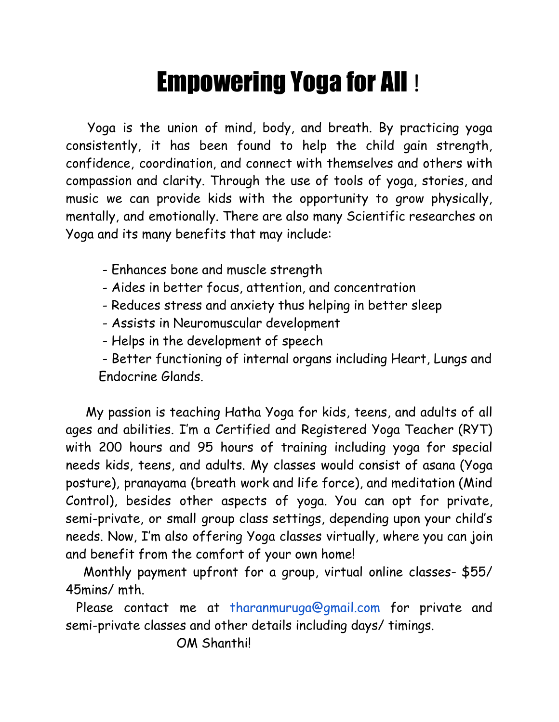## Empowering Yoga for All !

Yoga is the union of mind, body, and breath. By practicing yoga consistently, it has been found to help the child gain strength, confidence, coordination, and connect with themselves and others with compassion and clarity. Through the use of tools of yoga, stories, and music we can provide kids with the opportunity to grow physically, mentally, and emotionally. There are also many Scientific researches on Yoga and its many benefits that may include:

- Enhances bone and muscle strength
- Aides in better focus, attention, and concentration
- Reduces stress and anxiety thus helping in better sleep
- Assists in Neuromuscular development
- Helps in the development of speech

- Better functioning of internal organs including Heart, Lungs and Endocrine Glands.

My passion is teaching Hatha Yoga for kids, teens, and adults of all ages and abilities. I'm a Certified and Registered Yoga Teacher (RYT) with 200 hours and 95 hours of training including yoga for special needs kids, teens, and adults. My classes would consist of asana (Yoga posture), pranayama (breath work and life force), and meditation (Mind Control), besides other aspects of yoga. You can opt for private, semi-private, or small group class settings, depending upon your child's needs. Now, I'm also offering Yoga classes virtually, where you can join and benefit from the comfort of your own home!

Monthly payment upfront for a group, virtual online classes- \$55/ 45mins/ mth.

Please contact me at [tharanmuruga@gmail.com](mailto:tharanmuruga@gmail.com) for private and semi-private classes and other details including days/ timings.

OM Shanthi!